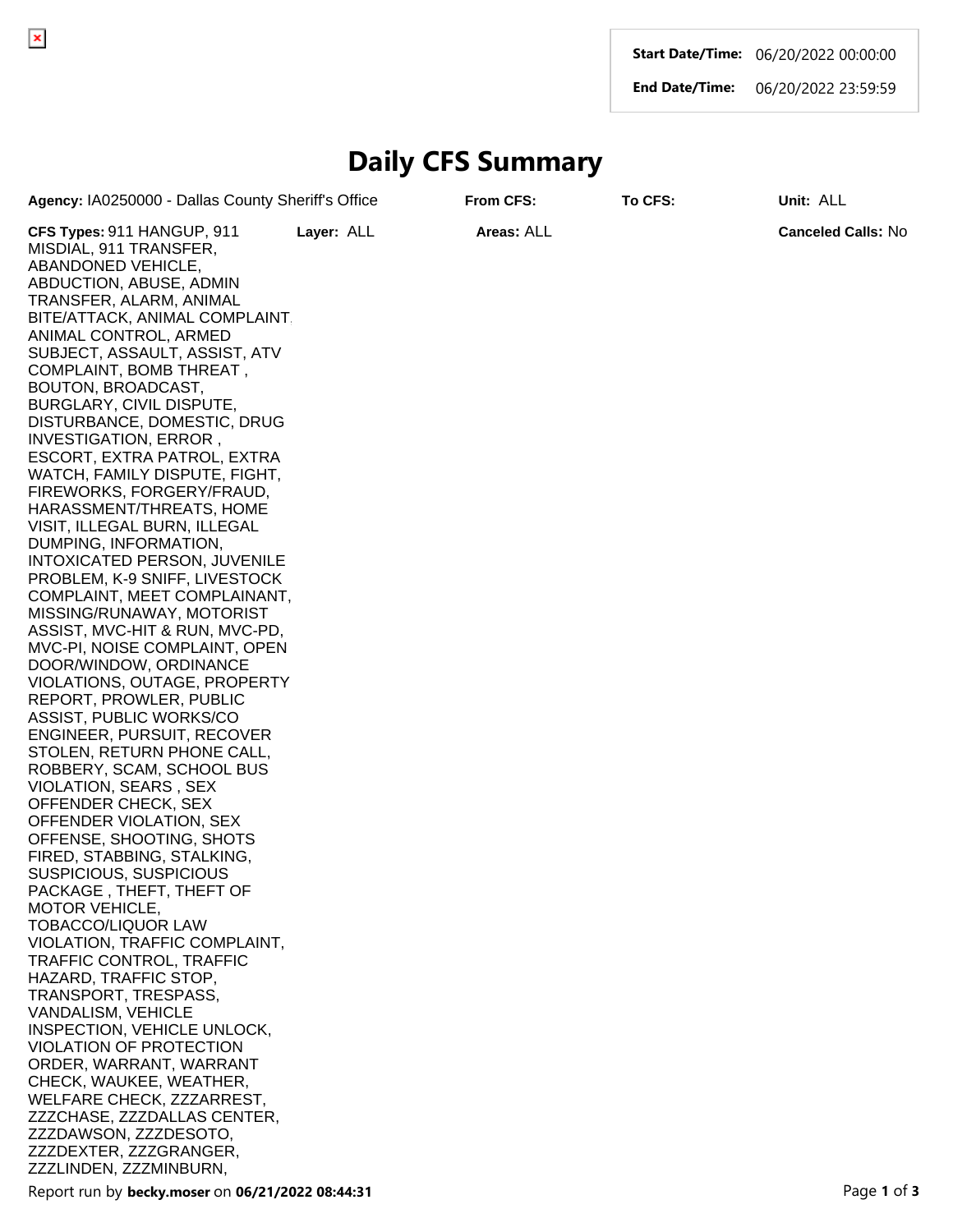**Start Date/Time:** 06/20/2022 00:00:00

**End Date/Time:** 06/20/2022 23:59:59

## **Daily CFS Summary**

**Agency:** IA0250000 - Dallas County Sheriff's Office **From CFS: To CFS: Unit:** ALL

**CFS Types:** 911 HANGUP, 911 MISDIAL, 911 TRANSFER, ABANDONED VEHICLE, ABDUCTION, ABUSE, ADMIN TRANSFER, ALARM, ANIMAL BITE/ATTACK, ANIMAL COMPLAINT, ANIMAL CONTROL, ARMED SUBJECT, ASSAULT, ASSIST, ATV COMPLAINT, BOMB THREAT , BOUTON, BROADCAST, BURGLARY, CIVIL DISPUTE, DISTURBANCE, DOMESTIC, DRUG INVESTIGATION, ERROR , ESCORT, EXTRA PATROL, EXTRA WATCH, FAMILY DISPUTE, FIGHT, FIREWORKS, FORGERY/FRAUD, HARASSMENT/THREATS, HOME VISIT, ILLEGAL BURN, ILLEGAL DUMPING, INFORMATION, INTOXICATED PERSON, JUVENILE PROBLEM, K-9 SNIFF, LIVESTOCK COMPLAINT, MEET COMPLAINANT, MISSING/RUNAWAY, MOTORIST ASSIST, MVC-HIT & RUN, MVC-PD, MVC-PI, NOISE COMPLAINT, OPEN DOOR/WINDOW, ORDINANCE VIOLATIONS, OUTAGE, PROPERTY REPORT, PROWLER, PUBLIC ASSIST, PUBLIC WORKS/CO ENGINEER, PURSUIT, RECOVER STOLEN, RETURN PHONE CALL, ROBBERY, SCAM, SCHOOL BUS VIOLATION, SEARS , SEX OFFENDER CHECK, SEX OFFENDER VIOLATION, SEX OFFENSE, SHOOTING, SHOTS FIRED, STABBING, STALKING, SUSPICIOUS, SUSPICIOUS PACKAGE , THEFT, THEFT OF MOTOR VEHICLE, TOBACCO/LIQUOR LAW VIOLATION, TRAFFIC COMPLAINT, TRAFFIC CONTROL, TRAFFIC HAZARD, TRAFFIC STOP, TRANSPORT, TRESPASS, VANDALISM, VEHICLE INSPECTION, VEHICLE UNLOCK, VIOLATION OF PROTECTION ORDER, WARRANT, WARRANT CHECK, WAUKEE, WEATHER, WELFARE CHECK, ZZZARREST, ZZZCHASE, ZZZDALLAS CENTER, ZZZDAWSON, ZZZDESOTO, ZZZDEXTER, ZZZGRANGER, ZZZLINDEN, ZZZMINBURN, **Layer:** ALL **Areas:** ALL **Canceled Calls:** No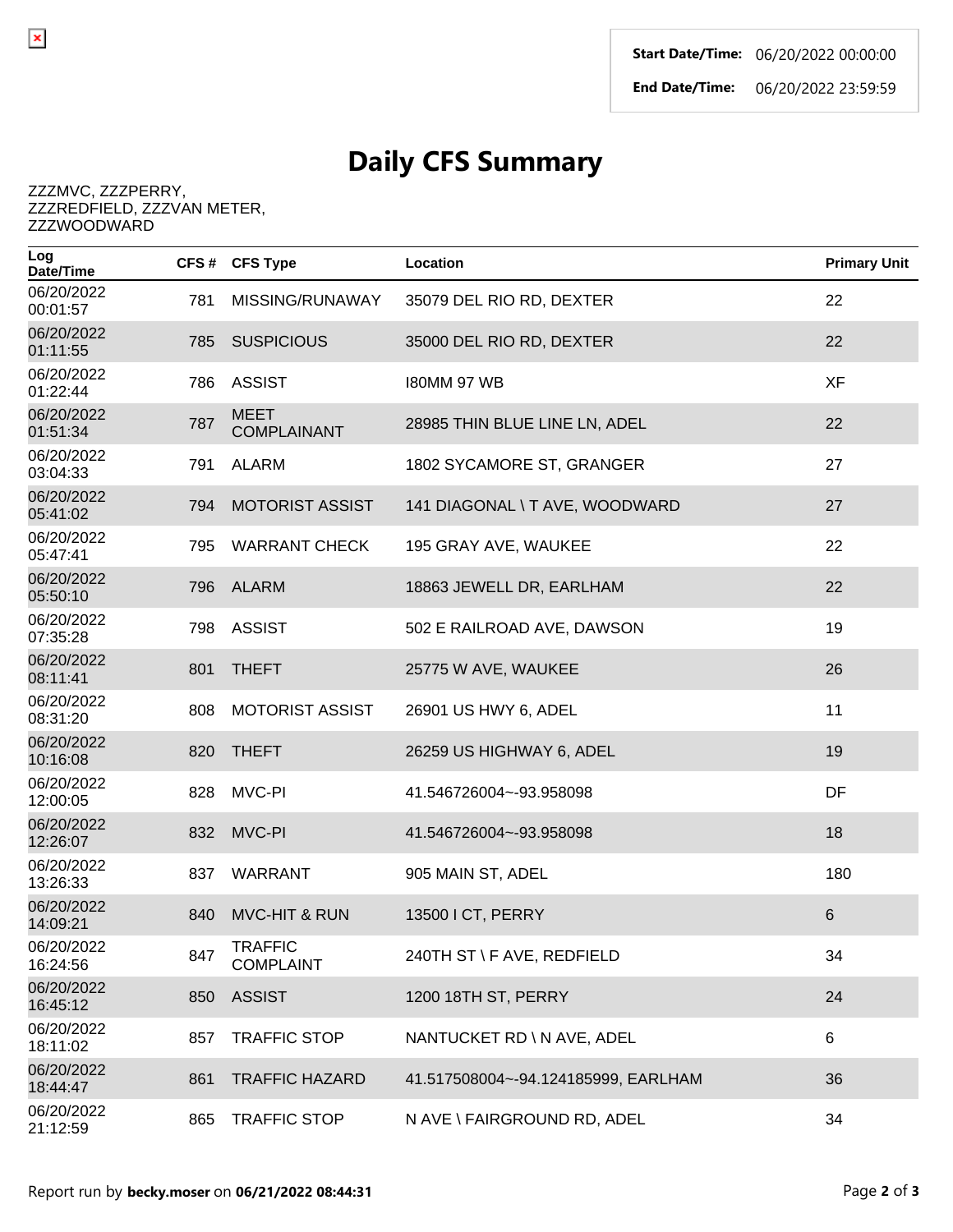## **Daily CFS Summary**

ZZZMVC, ZZZPERRY, ZZZREDFIELD, ZZZVAN METER, ZZZWOODWARD

 $\pmb{\times}$ 

| Log<br>Date/Time       | CFS# | <b>CFS Type</b>                   | Location                            | <b>Primary Unit</b> |
|------------------------|------|-----------------------------------|-------------------------------------|---------------------|
| 06/20/2022<br>00:01:57 | 781  | MISSING/RUNAWAY                   | 35079 DEL RIO RD, DEXTER            | 22                  |
| 06/20/2022<br>01:11:55 | 785  | <b>SUSPICIOUS</b>                 | 35000 DEL RIO RD, DEXTER            | 22                  |
| 06/20/2022<br>01:22:44 | 786  | <b>ASSIST</b>                     | <b>I80MM 97 WB</b>                  | <b>XF</b>           |
| 06/20/2022<br>01:51:34 | 787  | <b>MEET</b><br><b>COMPLAINANT</b> | 28985 THIN BLUE LINE LN, ADEL       | 22                  |
| 06/20/2022<br>03:04:33 | 791  | <b>ALARM</b>                      | 1802 SYCAMORE ST, GRANGER           | 27                  |
| 06/20/2022<br>05:41:02 | 794  | <b>MOTORIST ASSIST</b>            | 141 DIAGONAL \ T AVE, WOODWARD      | 27                  |
| 06/20/2022<br>05:47:41 | 795  | <b>WARRANT CHECK</b>              | 195 GRAY AVE, WAUKEE                | 22                  |
| 06/20/2022<br>05:50:10 | 796  | ALARM                             | 18863 JEWELL DR, EARLHAM            | 22                  |
| 06/20/2022<br>07:35:28 | 798  | <b>ASSIST</b>                     | 502 E RAILROAD AVE, DAWSON          | 19                  |
| 06/20/2022<br>08:11:41 | 801  | <b>THEFT</b>                      | 25775 W AVE, WAUKEE                 | 26                  |
| 06/20/2022<br>08:31:20 | 808  | <b>MOTORIST ASSIST</b>            | 26901 US HWY 6, ADEL                | 11                  |
| 06/20/2022<br>10:16:08 | 820  | <b>THEFT</b>                      | 26259 US HIGHWAY 6, ADEL            | 19                  |
| 06/20/2022<br>12:00:05 | 828  | MVC-PI                            | 41.546726004~-93.958098             | DF                  |
| 06/20/2022<br>12:26:07 | 832  | MVC-PI                            | 41.546726004~-93.958098             | 18                  |
| 06/20/2022<br>13:26:33 | 837  | <b>WARRANT</b>                    | 905 MAIN ST, ADEL                   | 180                 |
| 06/20/2022<br>14:09:21 | 840  | <b>MVC-HIT &amp; RUN</b>          | 13500 I CT, PERRY                   | 6                   |
| 06/20/2022<br>16:24:56 | 847  | TRAFFIC<br><b>COMPLAINT</b>       | 240TH ST \F AVE, REDFIELD           | 34                  |
| 06/20/2022<br>16:45:12 | 850  | <b>ASSIST</b>                     | 1200 18TH ST, PERRY                 | 24                  |
| 06/20/2022<br>18:11:02 | 857  | <b>TRAFFIC STOP</b>               | NANTUCKET RD \ N AVE, ADEL          | 6                   |
| 06/20/2022<br>18:44:47 | 861  | <b>TRAFFIC HAZARD</b>             | 41.517508004~-94.124185999, EARLHAM | 36                  |
| 06/20/2022<br>21:12:59 | 865  | <b>TRAFFIC STOP</b>               | N AVE \ FAIRGROUND RD, ADEL         | 34                  |